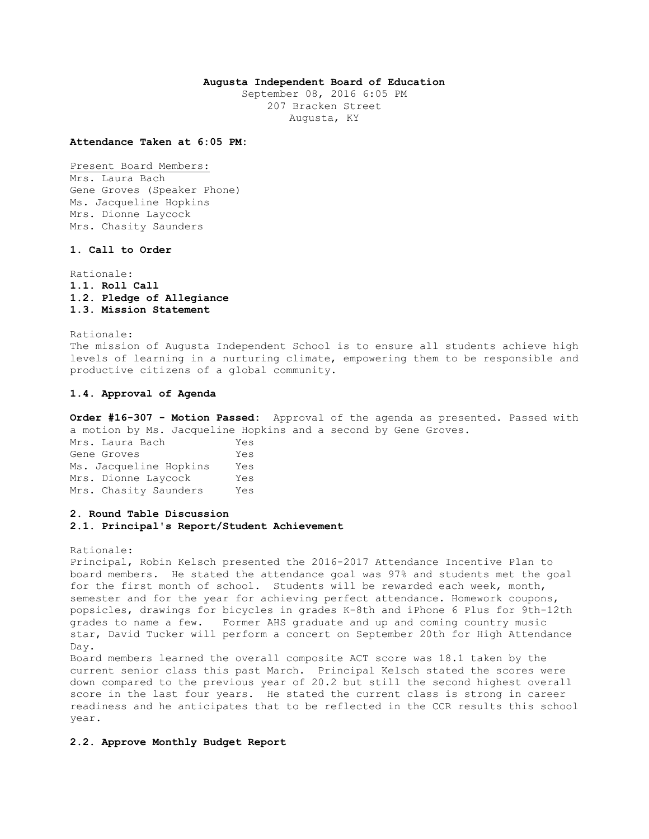## **Augusta Independent Board of Education**

September 08, 2016 6:05 PM 207 Bracken Street Augusta, KY

**Attendance Taken at 6:05 PM:**

Present Board Members: Mrs. Laura Bach Gene Groves (Speaker Phone) Ms. Jacqueline Hopkins Mrs. Dionne Laycock Mrs. Chasity Saunders

## **1. Call to Order**

Rationale: **1.1. Roll Call 1.2. Pledge of Allegiance 1.3. Mission Statement** 

Rationale: The mission of Augusta Independent School is to ensure all students achieve high levels of learning in a nurturing climate, empowering them to be responsible and productive citizens of a global community.

#### **1.4. Approval of Agenda**

**Order #16-307 - Motion Passed:** Approval of the agenda as presented. Passed with a motion by Ms. Jacqueline Hopkins and a second by Gene Groves.

Mrs. Laura Bach Yes Gene Groves Tes Ms. Jacqueline Hopkins Yes Mrs. Dionne Laycock Yes Mrs. Chasity Saunders Yes

#### **2. Round Table Discussion**

### **2.1. Principal's Report/Student Achievement**

Rationale:

Principal, Robin Kelsch presented the 2016-2017 Attendance Incentive Plan to board members. He stated the attendance goal was 97% and students met the goal for the first month of school. Students will be rewarded each week, month, semester and for the year for achieving perfect attendance. Homework coupons, popsicles, drawings for bicycles in grades K-8th and iPhone 6 Plus for 9th-12th grades to name a few. Former AHS graduate and up and coming country music star, David Tucker will perform a concert on September 20th for High Attendance Day.

Board members learned the overall composite ACT score was 18.1 taken by the current senior class this past March. Principal Kelsch stated the scores were down compared to the previous year of 20.2 but still the second highest overall score in the last four years. He stated the current class is strong in career readiness and he anticipates that to be reflected in the CCR results this school year.

#### **2.2. Approve Monthly Budget Report**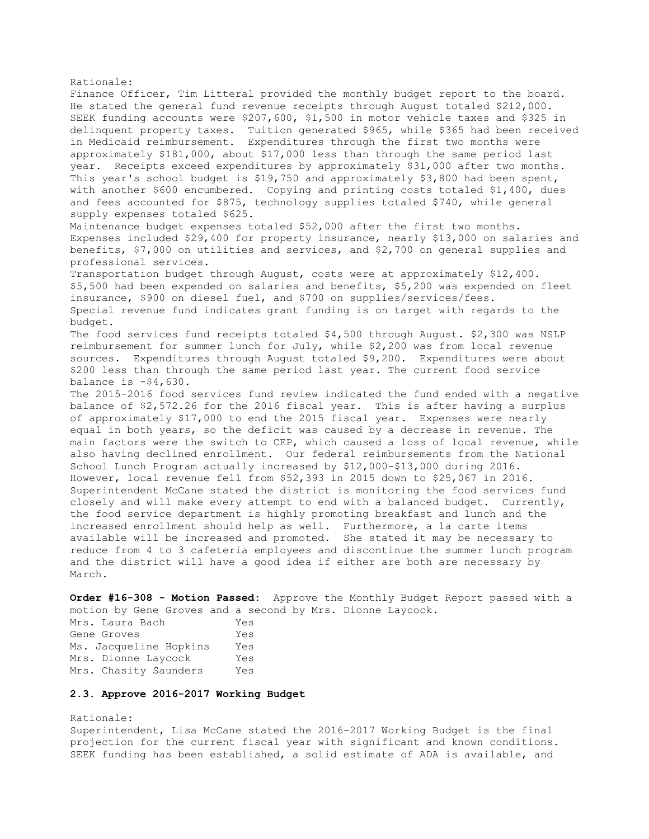Rationale: Finance Officer, Tim Litteral provided the monthly budget report to the board. He stated the general fund revenue receipts through August totaled \$212,000. SEEK funding accounts were \$207,600, \$1,500 in motor vehicle taxes and \$325 in delinquent property taxes. Tuition generated \$965, while \$365 had been received in Medicaid reimbursement. Expenditures through the first two months were approximately \$181,000, about \$17,000 less than through the same period last year. Receipts exceed expenditures by approximately \$31,000 after two months. This year's school budget is \$19,750 and approximately \$3,800 had been spent, with another \$600 encumbered. Copying and printing costs totaled \$1,400, dues and fees accounted for \$875, technology supplies totaled \$740, while general supply expenses totaled \$625. Maintenance budget expenses totaled \$52,000 after the first two months. Expenses included \$29,400 for property insurance, nearly \$13,000 on salaries and benefits, \$7,000 on utilities and services, and \$2,700 on general supplies and professional services. Transportation budget through August, costs were at approximately \$12,400. \$5,500 had been expended on salaries and benefits, \$5,200 was expended on fleet insurance, \$900 on diesel fuel, and \$700 on supplies/services/fees. Special revenue fund indicates grant funding is on target with regards to the budget. The food services fund receipts totaled \$4,500 through August. \$2,300 was NSLP reimbursement for summer lunch for July, while \$2,200 was from local revenue sources. Expenditures through August totaled \$9,200. Expenditures were about \$200 less than through the same period last year. The current food service balance is  $-54,630$ . The 2015-2016 food services fund review indicated the fund ended with a negative balance of \$2,572.26 for the 2016 fiscal year. This is after having a surplus of approximately \$17,000 to end the 2015 fiscal year. Expenses were nearly equal in both years, so the deficit was caused by a decrease in revenue. The main factors were the switch to CEP, which caused a loss of local revenue, while also having declined enrollment. Our federal reimbursements from the National School Lunch Program actually increased by \$12,000-\$13,000 during 2016. However, local revenue fell from \$52,393 in 2015 down to \$25,067 in 2016. Superintendent McCane stated the district is monitoring the food services fund closely and will make every attempt to end with a balanced budget. Currently, the food service department is highly promoting breakfast and lunch and the increased enrollment should help as well. Furthermore, a la carte items available will be increased and promoted. She stated it may be necessary to reduce from 4 to 3 cafeteria employees and discontinue the summer lunch program and the district will have a good idea if either are both are necessary by March.

**Order #16-308 - Motion Passed:** Approve the Monthly Budget Report passed with a motion by Gene Groves and a second by Mrs. Dionne Laycock.

Mrs. Laura Bach Yes Gene Groves Yes Ms. Jacqueline Hopkins Yes Mrs. Dionne Laycock Yes Mrs. Chasity Saunders Yes

## **2.3. Approve 2016-2017 Working Budget**

Rationale: Superintendent, Lisa McCane stated the 2016-2017 Working Budget is the final projection for the current fiscal year with significant and known conditions. SEEK funding has been established, a solid estimate of ADA is available, and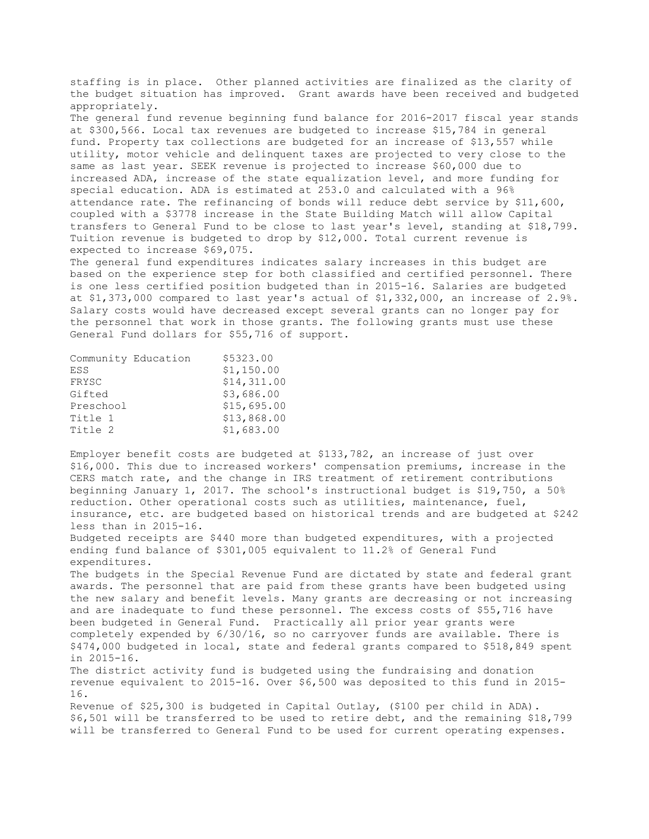staffing is in place. Other planned activities are finalized as the clarity of the budget situation has improved. Grant awards have been received and budgeted appropriately.

The general fund revenue beginning fund balance for 2016-2017 fiscal year stands at \$300,566. Local tax revenues are budgeted to increase \$15,784 in general fund. Property tax collections are budgeted for an increase of \$13,557 while utility, motor vehicle and delinquent taxes are projected to very close to the same as last year. SEEK revenue is projected to increase \$60,000 due to increased ADA, increase of the state equalization level, and more funding for special education. ADA is estimated at 253.0 and calculated with a 96% attendance rate. The refinancing of bonds will reduce debt service by \$11,600, coupled with a \$3778 increase in the State Building Match will allow Capital transfers to General Fund to be close to last year's level, standing at \$18,799. Tuition revenue is budgeted to drop by \$12,000. Total current revenue is expected to increase \$69,075.

The general fund expenditures indicates salary increases in this budget are based on the experience step for both classified and certified personnel. There is one less certified position budgeted than in 2015-16. Salaries are budgeted at \$1,373,000 compared to last year's actual of \$1,332,000, an increase of 2.9%. Salary costs would have decreased except several grants can no longer pay for the personnel that work in those grants. The following grants must use these General Fund dollars for \$55,716 of support.

| Community Education | \$5323.00   |
|---------------------|-------------|
| ESS                 | \$1,150.00  |
| FRYSC               | \$14,311.00 |
| Gifted              | \$3,686.00  |
| Preschool           | \$15,695.00 |
| Title 1             | \$13,868.00 |
| Title 2             | \$1,683.00  |

Employer benefit costs are budgeted at \$133,782, an increase of just over \$16,000. This due to increased workers' compensation premiums, increase in the CERS match rate, and the change in IRS treatment of retirement contributions beginning January 1, 2017. The school's instructional budget is \$19,750, a 50% reduction. Other operational costs such as utilities, maintenance, fuel, insurance, etc. are budgeted based on historical trends and are budgeted at \$242 less than in 2015-16.

Budgeted receipts are \$440 more than budgeted expenditures, with a projected ending fund balance of \$301,005 equivalent to 11.2% of General Fund expenditures.

The budgets in the Special Revenue Fund are dictated by state and federal grant awards. The personnel that are paid from these grants have been budgeted using the new salary and benefit levels. Many grants are decreasing or not increasing and are inadequate to fund these personnel. The excess costs of \$55,716 have been budgeted in General Fund. Practically all prior year grants were completely expended by 6/30/16, so no carryover funds are available. There is \$474,000 budgeted in local, state and federal grants compared to \$518,849 spent in 2015-16. The district activity fund is budgeted using the fundraising and donation

revenue equivalent to 2015-16. Over \$6,500 was deposited to this fund in 2015- 16.

Revenue of \$25,300 is budgeted in Capital Outlay, (\$100 per child in ADA). \$6,501 will be transferred to be used to retire debt, and the remaining \$18,799 will be transferred to General Fund to be used for current operating expenses.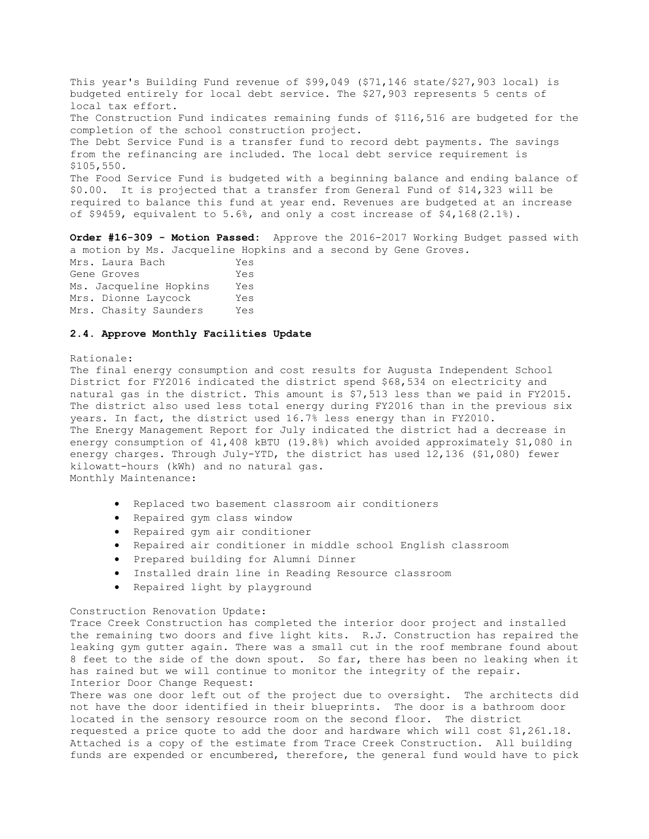This year's Building Fund revenue of \$99,049 (\$71,146 state/\$27,903 local) is budgeted entirely for local debt service. The \$27,903 represents 5 cents of local tax effort. The Construction Fund indicates remaining funds of \$116,516 are budgeted for the completion of the school construction project. The Debt Service Fund is a transfer fund to record debt payments. The savings from the refinancing are included. The local debt service requirement is \$105,550. The Food Service Fund is budgeted with a beginning balance and ending balance of \$0.00. It is projected that a transfer from General Fund of \$14,323 will be required to balance this fund at year end. Revenues are budgeted at an increase of \$9459, equivalent to 5.6%, and only a cost increase of \$4,168(2.1%).

**Order #16-309 - Motion Passed:** Approve the 2016-2017 Working Budget passed with a motion by Ms. Jacqueline Hopkins and a second by Gene Groves.

| Mrs. Laura Bach        | Yes |
|------------------------|-----|
| Gene Groves            | Yes |
| Ms. Jacqueline Hopkins | Yes |
| Mrs. Dionne Laycock    | Yes |
| Mrs. Chasity Saunders  | Yes |

### **2.4. Approve Monthly Facilities Update**

#### Rationale:

The final energy consumption and cost results for Augusta Independent School District for FY2016 indicated the district spend \$68,534 on electricity and natural gas in the district. This amount is \$7,513 less than we paid in FY2015. The district also used less total energy during FY2016 than in the previous six years. In fact, the district used 16.7% less energy than in FY2010. The Energy Management Report for July indicated the district had a decrease in energy consumption of 41,408 kBTU (19.8%) which avoided approximately \$1,080 in energy charges. Through July-YTD, the district has used 12,136 (\$1,080) fewer kilowatt-hours (kWh) and no natural gas. Monthly Maintenance:

- Replaced two basement classroom air conditioners
- Repaired gym class window
- Repaired gym air conditioner
- Repaired air conditioner in middle school English classroom
- Prepared building for Alumni Dinner
- Installed drain line in Reading Resource classroom
- Repaired light by playground

## Construction Renovation Update:

Trace Creek Construction has completed the interior door project and installed the remaining two doors and five light kits. R.J. Construction has repaired the leaking gym gutter again. There was a small cut in the roof membrane found about 8 feet to the side of the down spout. So far, there has been no leaking when it has rained but we will continue to monitor the integrity of the repair. Interior Door Change Request:

There was one door left out of the project due to oversight. The architects did not have the door identified in their blueprints. The door is a bathroom door located in the sensory resource room on the second floor. The district requested a price quote to add the door and hardware which will cost \$1,261.18. Attached is a copy of the estimate from Trace Creek Construction. All building funds are expended or encumbered, therefore, the general fund would have to pick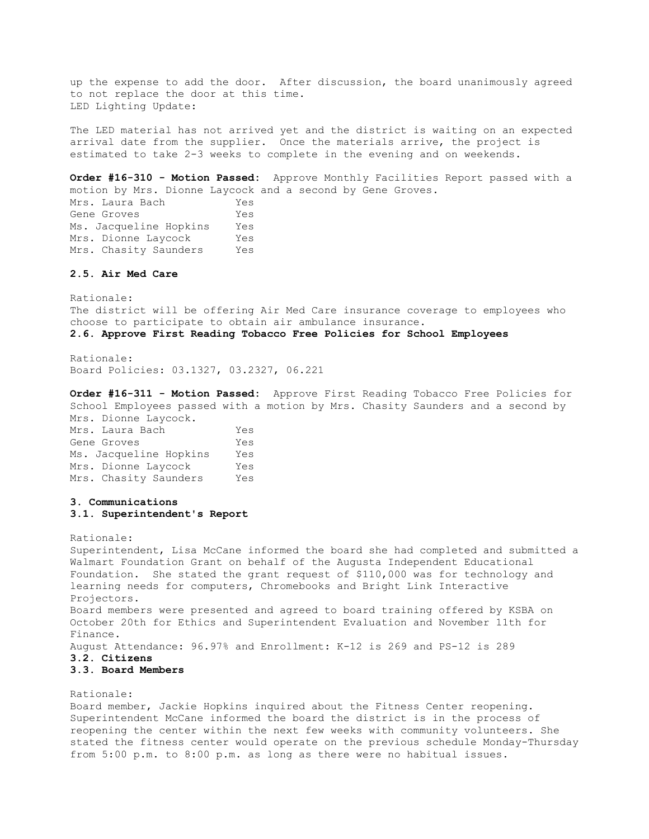up the expense to add the door. After discussion, the board unanimously agreed to not replace the door at this time. LED Lighting Update:

The LED material has not arrived yet and the district is waiting on an expected arrival date from the supplier. Once the materials arrive, the project is estimated to take 2-3 weeks to complete in the evening and on weekends.

**Order #16-310 - Motion Passed:** Approve Monthly Facilities Report passed with a motion by Mrs. Dionne Laycock and a second by Gene Groves. Mrs. Laura Bach Yes Gene Groves Yes Ms. Jacqueline Hopkins Yes Mrs. Dionne Laycock Yes Mrs. Chasity Saunders Yes

### **2.5. Air Med Care**

Rationale: The district will be offering Air Med Care insurance coverage to employees who choose to participate to obtain air ambulance insurance. **2.6. Approve First Reading Tobacco Free Policies for School Employees** 

Rationale: Board Policies: 03.1327, 03.2327, 06.221

**Order #16-311 - Motion Passed:** Approve First Reading Tobacco Free Policies for School Employees passed with a motion by Mrs. Chasity Saunders and a second by Mrs. Dionne Laycock.

Mrs. Laura Bach Yes Gene Groves Yes Ms. Jacqueline Hopkins Yes Mrs. Dionne Laycock Yes Mrs. Chasity Saunders Yes

# **3. Communications**

### **3.1. Superintendent's Report**

Rationale:

Superintendent, Lisa McCane informed the board she had completed and submitted a Walmart Foundation Grant on behalf of the Augusta Independent Educational Foundation. She stated the grant request of \$110,000 was for technology and learning needs for computers, Chromebooks and Bright Link Interactive Projectors. Board members were presented and agreed to board training offered by KSBA on October 20th for Ethics and Superintendent Evaluation and November 11th for Finance. August Attendance: 96.97% and Enrollment: K-12 is 269 and PS-12 is 289 **3.2. Citizens** 

#### **3.3. Board Members**

Rationale:

Board member, Jackie Hopkins inquired about the Fitness Center reopening. Superintendent McCane informed the board the district is in the process of reopening the center within the next few weeks with community volunteers. She stated the fitness center would operate on the previous schedule Monday-Thursday from 5:00 p.m. to 8:00 p.m. as long as there were no habitual issues.